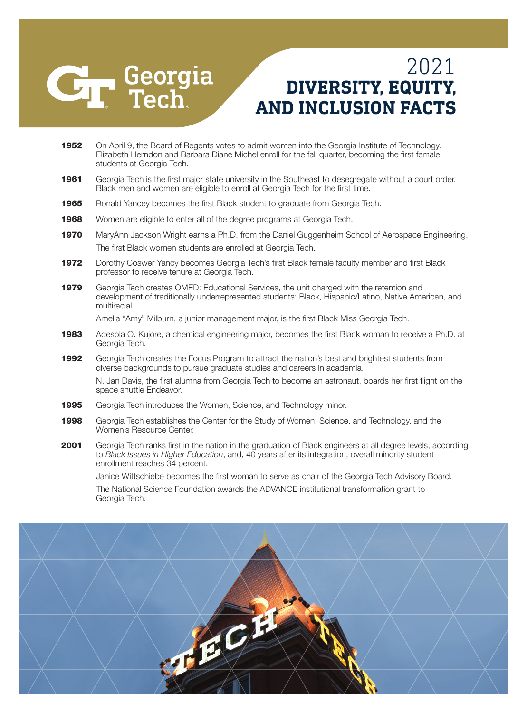## **CH** Georgia

## **DIVERSITY, EQUITY, AND INCLUSION FACTS** 2021

- 1952 On April 9, the Board of Regents votes to admit women into the Georgia Institute of Technology. Elizabeth Herndon and Barbara Diane Michel enroll for the fall quarter, becoming the first female students at Georgia Tech.
- 1961 Georgia Tech is the first major state university in the Southeast to desegregate without a court order. Black men and women are eligible to enroll at Georgia Tech for the first time.
- 1965 Ronald Yancey becomes the first Black student to graduate from Georgia Tech.
- **1968** Women are eligible to enter all of the degree programs at Georgia Tech.
- 1970 MaryAnn Jackson Wright earns a Ph.D. from the Daniel Guggenheim School of Aerospace Engineering. The first Black women students are enrolled at Georgia Tech.
- 1972 Dorothy Coswer Yancy becomes Georgia Tech's first Black female faculty member and first Black professor to receive tenure at Georgia Tech.
- **1979** Georgia Tech creates OMED: Educational Services, the unit charged with the retention and development of traditionally underrepresented students: Black, Hispanic/Latino, Native American, and multiracial.

Amelia "Amy" Milburn, a junior management major, is the first Black Miss Georgia Tech.

- **1983** Adesola O. Kujore, a chemical engineering major, becomes the first Black woman to receive a Ph.D. at Georgia Tech.
- 1992 Georgia Tech creates the Focus Program to attract the nation's best and brightest students from diverse backgrounds to pursue graduate studies and careers in academia.

N. Jan Davis, the first alumna from Georgia Tech to become an astronaut, boards her first flight on the space shuttle Endeavor.

- **1995** Georgia Tech introduces the Women, Science, and Technology minor.
- 1998 Georgia Tech establishes the Center for the Study of Women, Science, and Technology, and the Women's Resource Center.
- 2001 Georgia Tech ranks first in the nation in the graduation of Black engineers at all degree levels, according to *Black Issues in Higher Education*, and, 40 years after its integration, overall minority student enrollment reaches 34 percent.

Janice Wittschiebe becomes the first woman to serve as chair of the Georgia Tech Advisory Board. The National Science Foundation awards the ADVANCE institutional transformation grant to Georgia Tech.